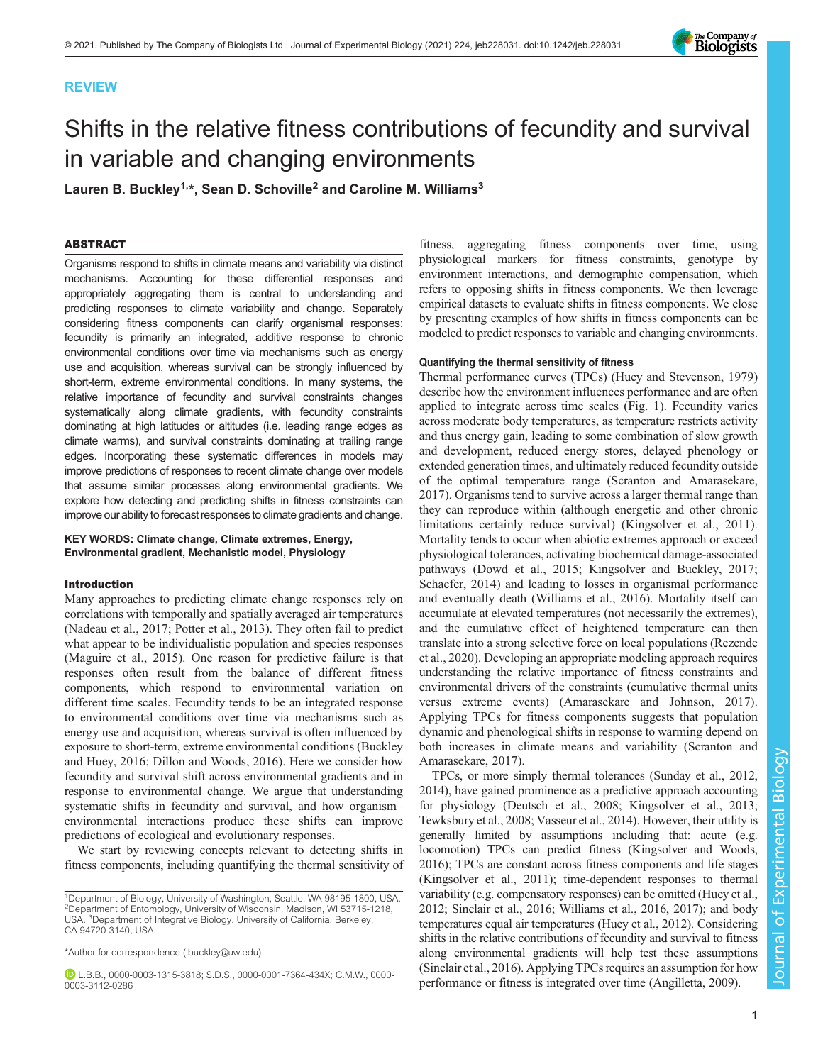# REVIEW



# Shifts in the relative fitness contributions of fecundity and survival in variable and changing environments

Lauren B. Buckley<sup>1,\*</sup>, Sean D. Schoville<sup>2</sup> and Caroline M. Williams<sup>3</sup>

# ABSTRACT

Organisms respond to shifts in climate means and variability via distinct mechanisms. Accounting for these differential responses and appropriately aggregating them is central to understanding and predicting responses to climate variability and change. Separately considering fitness components can clarify organismal responses: fecundity is primarily an integrated, additive response to chronic environmental conditions over time via mechanisms such as energy use and acquisition, whereas survival can be strongly influenced by short-term, extreme environmental conditions. In many systems, the relative importance of fecundity and survival constraints changes systematically along climate gradients, with fecundity constraints dominating at high latitudes or altitudes (i.e. leading range edges as climate warms), and survival constraints dominating at trailing range edges. Incorporating these systematic differences in models may improve predictions of responses to recent climate change over models that assume similar processes along environmental gradients. We explore how detecting and predicting shifts in fitness constraints can improve our ability to forecast responsesto climate gradients and change.

# KEY WORDS: Climate change, Climate extremes, Energy, Environmental gradient, Mechanistic model, Physiology

## Introduction

Many approaches to predicting climate change responses rely on correlations with temporally and spatially averaged air temperatures [\(Nadeau et al., 2017](#page-7-0); [Potter et al., 2013](#page-7-0)). They often fail to predict what appear to be individualistic population and species responses [\(Maguire et al., 2015\)](#page-7-0). One reason for predictive failure is that responses often result from the balance of different fitness components, which respond to environmental variation on different time scales. Fecundity tends to be an integrated response to environmental conditions over time via mechanisms such as energy use and acquisition, whereas survival is often influenced by exposure to short-term, extreme environmental conditions ([Buckley](#page-6-0) [and Huey, 2016; Dillon and Woods, 2016](#page-6-0)). Here we consider how fecundity and survival shift across environmental gradients and in response to environmental change. We argue that understanding systematic shifts in fecundity and survival, and how organism– environmental interactions produce these shifts can improve predictions of ecological and evolutionary responses.

We start by reviewing concepts relevant to detecting shifts in fitness components, including quantifying the thermal sensitivity of

fitness, aggregating fitness components over time, using physiological markers for fitness constraints, genotype by environment interactions, and demographic compensation, which refers to opposing shifts in fitness components. We then leverage empirical datasets to evaluate shifts in fitness components. We close by presenting examples of how shifts in fitness components can be modeled to predict responses to variable and changing environments.

## Quantifying the thermal sensitivity of fitness

Thermal performance curves (TPCs) ([Huey and Stevenson, 1979\)](#page-7-0) describe how the environment influences performance and are often applied to integrate across time scales [\(Fig. 1\)](#page-1-0). Fecundity varies across moderate body temperatures, as temperature restricts activity and thus energy gain, leading to some combination of slow growth and development, reduced energy stores, delayed phenology or extended generation times, and ultimately reduced fecundity outside of the optimal temperature range ([Scranton and Amarasekare,](#page-7-0) [2017\)](#page-7-0). Organisms tend to survive across a larger thermal range than they can reproduce within (although energetic and other chronic limitations certainly reduce survival) ([Kingsolver et al., 2011\)](#page-7-0). Mortality tends to occur when abiotic extremes approach or exceed physiological tolerances, activating biochemical damage-associated pathways [\(Dowd et al., 2015;](#page-6-0) [Kingsolver and Buckley, 2017](#page-7-0); [Schaefer, 2014\)](#page-7-0) and leading to losses in organismal performance and eventually death ([Williams et al., 2016\)](#page-7-0). Mortality itself can accumulate at elevated temperatures (not necessarily the extremes), and the cumulative effect of heightened temperature can then translate into a strong selective force on local populations ([Rezende](#page-7-0) [et al., 2020\)](#page-7-0). Developing an appropriate modeling approach requires understanding the relative importance of fitness constraints and environmental drivers of the constraints (cumulative thermal units versus extreme events) [\(Amarasekare and Johnson, 2017\)](#page-6-0). Applying TPCs for fitness components suggests that population dynamic and phenological shifts in response to warming depend on both increases in climate means and variability ([Scranton and](#page-7-0) [Amarasekare, 2017](#page-7-0)).

TPCs, or more simply thermal tolerances [\(Sunday et al., 2012,](#page-7-0) [2014\)](#page-7-0), have gained prominence as a predictive approach accounting for physiology [\(Deutsch et al., 2008](#page-6-0); [Kingsolver et al., 2013](#page-7-0); [Tewksbury et al., 2008; Vasseur et al., 2014\)](#page-7-0). However, their utility is generally limited by assumptions including that: acute (e.g. locomotion) TPCs can predict fitness [\(Kingsolver and Woods,](#page-7-0) [2016\)](#page-7-0); TPCs are constant across fitness components and life stages [\(Kingsolver et al., 2011](#page-7-0)); time-dependent responses to thermal variability (e.g. compensatory responses) can be omitted ([Huey et al.,](#page-7-0) [2012; Sinclair et al., 2016; Williams et al., 2016, 2017\)](#page-7-0); and body temperatures equal air temperatures ([Huey et al., 2012](#page-7-0)). Considering shifts in the relative contributions of fecundity and survival to fitness along environmental gradients will help test these assumptions [\(Sinclair et al., 2016\)](#page-7-0). Applying TPCs requires an assumption for how performance or fitness is integrated over time [\(Angilletta, 2009](#page-6-0)).

<sup>&</sup>lt;sup>1</sup>Department of Biology, University of Washington, Seattle, WA 98195-1800, USA. 2 Department of Entomology, University of Wisconsin, Madison, WI 53715-1218, USA. <sup>3</sup>Department of Integrative Biology, University of California, Berkeley, CA 94720-3140, USA.

<sup>\*</sup>Author for correspondence [\(lbuckley@uw.edu](mailto:lbuckley@uw.edu))

L.B.B., [0000-0003-1315-3818;](http://orcid.org/0000-0003-1315-3818) S.D.S., [0000-0001-7364-434X;](http://orcid.org/0000-0001-7364-434X) C.M.W., [0000-](http://orcid.org/0000-0003-3112-0286) [0003-3112-0286](http://orcid.org/0000-0003-3112-0286)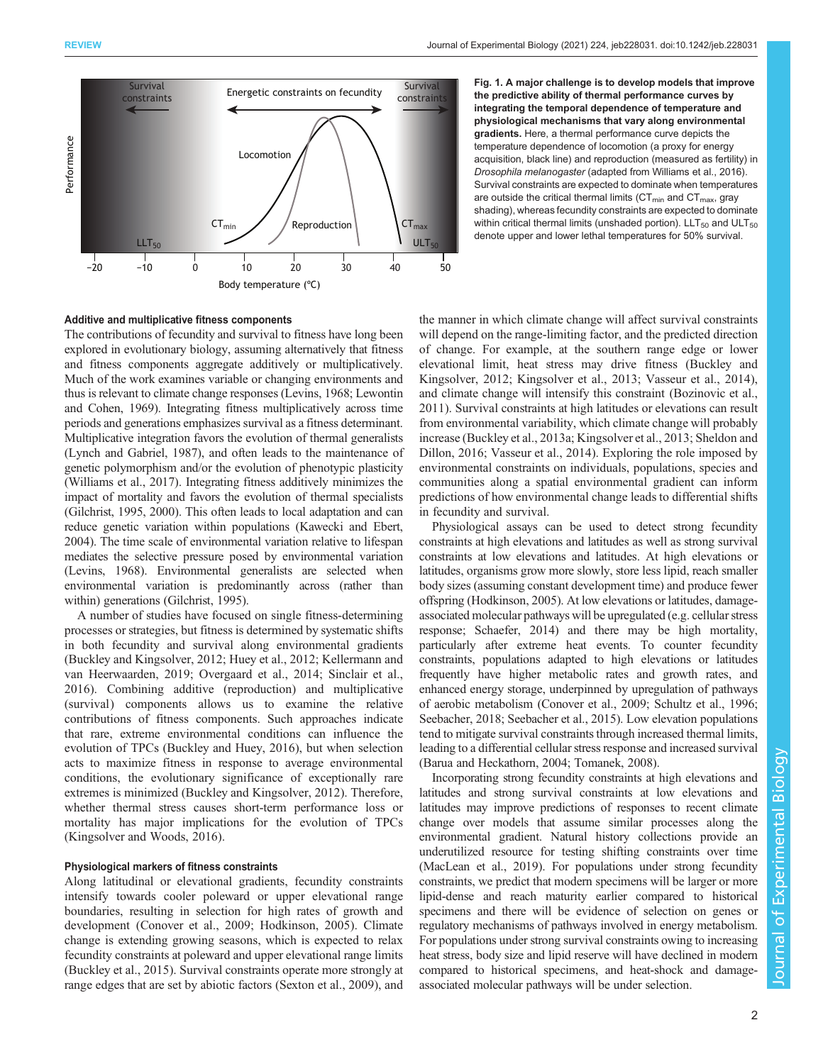<span id="page-1-0"></span>

Additive and multiplicative fitness components

The contributions of fecundity and survival to fitness have long been explored in evolutionary biology, assuming alternatively that fitness and fitness components aggregate additively or multiplicatively. Much of the work examines variable or changing environments and thus is relevant to climate change responses [\(Levins, 1968](#page-7-0); [Lewontin](#page-7-0) [and Cohen, 1969\)](#page-7-0). Integrating fitness multiplicatively across time periods and generations emphasizes survival as a fitness determinant. Multiplicative integration favors the evolution of thermal generalists [\(Lynch and Gabriel, 1987\)](#page-7-0), and often leads to the maintenance of genetic polymorphism and/or the evolution of phenotypic plasticity [\(Williams et al., 2017\)](#page-7-0). Integrating fitness additively minimizes the impact of mortality and favors the evolution of thermal specialists [\(Gilchrist, 1995](#page-6-0), [2000](#page-6-0)). This often leads to local adaptation and can reduce genetic variation within populations [\(Kawecki and Ebert,](#page-7-0) [2004\)](#page-7-0). The time scale of environmental variation relative to lifespan mediates the selective pressure posed by environmental variation [\(Levins, 1968](#page-7-0)). Environmental generalists are selected when environmental variation is predominantly across (rather than within) generations ([Gilchrist, 1995](#page-6-0)).

A number of studies have focused on single fitness-determining processes or strategies, but fitness is determined by systematic shifts in both fecundity and survival along environmental gradients [\(Buckley and Kingsolver, 2012;](#page-6-0) [Huey et al., 2012; Kellermann and](#page-7-0) [van Heerwaarden, 2019](#page-7-0); [Overgaard et al., 2014; Sinclair et al.,](#page-7-0) [2016](#page-7-0)). Combining additive (reproduction) and multiplicative (survival) components allows us to examine the relative contributions of fitness components. Such approaches indicate that rare, extreme environmental conditions can influence the evolution of TPCs [\(Buckley and Huey, 2016\)](#page-6-0), but when selection acts to maximize fitness in response to average environmental conditions, the evolutionary significance of exceptionally rare extremes is minimized [\(Buckley and Kingsolver, 2012](#page-6-0)). Therefore, whether thermal stress causes short-term performance loss or mortality has major implications for the evolution of TPCs [\(Kingsolver and Woods, 2016](#page-7-0)).

## Physiological markers of fitness constraints

Along latitudinal or elevational gradients, fecundity constraints intensify towards cooler poleward or upper elevational range boundaries, resulting in selection for high rates of growth and development [\(Conover et al., 2009](#page-6-0); [Hodkinson, 2005\)](#page-7-0). Climate change is extending growing seasons, which is expected to relax fecundity constraints at poleward and upper elevational range limits [\(Buckley et al., 2015\)](#page-6-0). Survival constraints operate more strongly at range edges that are set by abiotic factors ([Sexton et al., 2009](#page-7-0)), and

Fig. 1. A major challenge is to develop models that improve the predictive ability of thermal performance curves by integrating the temporal dependence of temperature and physiological mechanisms that vary along environmental gradients. Here, a thermal performance curve depicts the temperature dependence of locomotion (a proxy for energy acquisition, black line) and reproduction (measured as fertility) in Drosophila melanogaster (adapted from [Williams et al., 2016](#page-7-0)). Survival constraints are expected to dominate when temperatures are outside the critical thermal limits ( $CT_{min}$  and  $CT_{max}$ , gray shading), whereas fecundity constraints are expected to dominate within critical thermal limits (unshaded portion).  $LLT_{50}$  and  $ULT_{50}$ denote upper and lower lethal temperatures for 50% survival.

the manner in which climate change will affect survival constraints will depend on the range-limiting factor, and the predicted direction of change. For example, at the southern range edge or lower elevational limit, heat stress may drive fitness [\(Buckley and](#page-6-0) [Kingsolver, 2012;](#page-6-0) [Kingsolver et al., 2013](#page-7-0); [Vasseur et al., 2014\)](#page-7-0), and climate change will intensify this constraint [\(Bozinovic et al.,](#page-6-0) [2011\)](#page-6-0). Survival constraints at high latitudes or elevations can result from environmental variability, which climate change will probably increase [\(Buckley et al., 2013a;](#page-6-0) [Kingsolver et al., 2013](#page-7-0); [Sheldon and](#page-7-0) [Dillon, 2016](#page-7-0); [Vasseur et al., 2014](#page-7-0)). Exploring the role imposed by environmental constraints on individuals, populations, species and communities along a spatial environmental gradient can inform predictions of how environmental change leads to differential shifts in fecundity and survival.

Physiological assays can be used to detect strong fecundity constraints at high elevations and latitudes as well as strong survival constraints at low elevations and latitudes. At high elevations or latitudes, organisms grow more slowly, store less lipid, reach smaller body sizes (assuming constant development time) and produce fewer offspring ([Hodkinson, 2005](#page-7-0)). At low elevations or latitudes, damageassociated molecular pathways will be upregulated (e.g. cellular stress response; [Schaefer, 2014\)](#page-7-0) and there may be high mortality, particularly after extreme heat events. To counter fecundity constraints, populations adapted to high elevations or latitudes frequently have higher metabolic rates and growth rates, and enhanced energy storage, underpinned by upregulation of pathways of aerobic metabolism [\(Conover et al., 2009;](#page-6-0) [Schultz et al., 1996](#page-7-0); [Seebacher, 2018; Seebacher et al., 2015\)](#page-7-0). Low elevation populations tend to mitigate survival constraints through increased thermal limits, leading to a differential cellular stress response and increased survival [\(Barua and Heckathorn, 2004](#page-6-0); [Tomanek, 2008\)](#page-7-0).

Incorporating strong fecundity constraints at high elevations and latitudes and strong survival constraints at low elevations and latitudes may improve predictions of responses to recent climate change over models that assume similar processes along the environmental gradient. Natural history collections provide an underutilized resource for testing shifting constraints over time [\(MacLean et al., 2019\)](#page-7-0). For populations under strong fecundity constraints, we predict that modern specimens will be larger or more lipid-dense and reach maturity earlier compared to historical specimens and there will be evidence of selection on genes or regulatory mechanisms of pathways involved in energy metabolism. For populations under strong survival constraints owing to increasing heat stress, body size and lipid reserve will have declined in modern compared to historical specimens, and heat-shock and damageassociated molecular pathways will be under selection.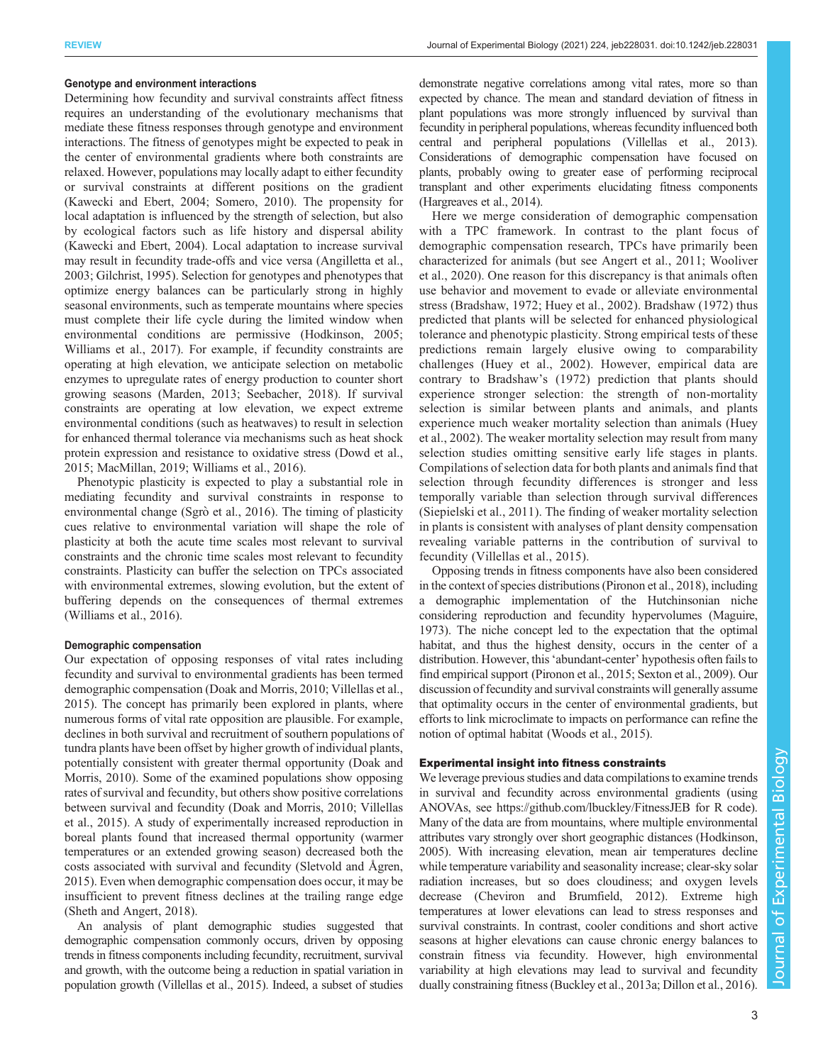## Genotype and environment interactions

Determining how fecundity and survival constraints affect fitness requires an understanding of the evolutionary mechanisms that mediate these fitness responses through genotype and environment interactions. The fitness of genotypes might be expected to peak in the center of environmental gradients where both constraints are relaxed. However, populations may locally adapt to either fecundity or survival constraints at different positions on the gradient [\(Kawecki and Ebert, 2004](#page-7-0); [Somero, 2010\)](#page-7-0). The propensity for local adaptation is influenced by the strength of selection, but also by ecological factors such as life history and dispersal ability [\(Kawecki and Ebert, 2004](#page-7-0)). Local adaptation to increase survival may result in fecundity trade-offs and vice versa ([Angilletta et al.,](#page-6-0) [2003](#page-6-0); [Gilchrist, 1995\)](#page-6-0). Selection for genotypes and phenotypes that optimize energy balances can be particularly strong in highly seasonal environments, such as temperate mountains where species must complete their life cycle during the limited window when environmental conditions are permissive ([Hodkinson, 2005](#page-7-0); [Williams et al., 2017](#page-7-0)). For example, if fecundity constraints are operating at high elevation, we anticipate selection on metabolic enzymes to upregulate rates of energy production to counter short growing seasons ([Marden, 2013](#page-7-0); [Seebacher, 2018](#page-7-0)). If survival constraints are operating at low elevation, we expect extreme environmental conditions (such as heatwaves) to result in selection for enhanced thermal tolerance via mechanisms such as heat shock protein expression and resistance to oxidative stress [\(Dowd et al.,](#page-6-0) [2015](#page-6-0); [MacMillan, 2019; Williams et al., 2016\)](#page-7-0).

Phenotypic plasticity is expected to play a substantial role in mediating fecundity and survival constraints in response to environmental change (Sgrò [et al., 2016\)](#page-7-0). The timing of plasticity cues relative to environmental variation will shape the role of plasticity at both the acute time scales most relevant to survival constraints and the chronic time scales most relevant to fecundity constraints. Plasticity can buffer the selection on TPCs associated with environmental extremes, slowing evolution, but the extent of buffering depends on the consequences of thermal extremes [\(Williams et al., 2016\)](#page-7-0).

## Demographic compensation

Our expectation of opposing responses of vital rates including fecundity and survival to environmental gradients has been termed demographic compensation ([Doak and Morris, 2010](#page-6-0); [Villellas et al.,](#page-7-0) [2015](#page-7-0)). The concept has primarily been explored in plants, where numerous forms of vital rate opposition are plausible. For example, declines in both survival and recruitment of southern populations of tundra plants have been offset by higher growth of individual plants, potentially consistent with greater thermal opportunity ([Doak and](#page-6-0) [Morris, 2010\)](#page-6-0). Some of the examined populations show opposing rates of survival and fecundity, but others show positive correlations between survival and fecundity [\(Doak and Morris, 2010;](#page-6-0) [Villellas](#page-7-0) [et al., 2015](#page-7-0)). A study of experimentally increased reproduction in boreal plants found that increased thermal opportunity (warmer temperatures or an extended growing season) decreased both the costs associated with survival and fecundity [\(Sletvold and Ågren,](#page-7-0) [2015](#page-7-0)). Even when demographic compensation does occur, it may be insufficient to prevent fitness declines at the trailing range edge [\(Sheth and Angert, 2018\)](#page-7-0).

An analysis of plant demographic studies suggested that demographic compensation commonly occurs, driven by opposing trends in fitness components including fecundity, recruitment, survival and growth, with the outcome being a reduction in spatial variation in population growth [\(Villellas et al., 2015\)](#page-7-0). Indeed, a subset of studies

demonstrate negative correlations among vital rates, more so than expected by chance. The mean and standard deviation of fitness in plant populations was more strongly influenced by survival than fecundity in peripheral populations, whereas fecundity influenced both central and peripheral populations [\(Villellas et al., 2013\)](#page-7-0). Considerations of demographic compensation have focused on plants, probably owing to greater ease of performing reciprocal transplant and other experiments elucidating fitness components [\(Hargreaves et al., 2014\)](#page-6-0).

Here we merge consideration of demographic compensation with a TPC framework. In contrast to the plant focus of demographic compensation research, TPCs have primarily been characterized for animals (but see [Angert et al., 2011](#page-6-0); [Wooliver](#page-8-0) [et al., 2020\)](#page-8-0). One reason for this discrepancy is that animals often use behavior and movement to evade or alleviate environmental stress ([Bradshaw, 1972;](#page-6-0) [Huey et al., 2002](#page-7-0)). [Bradshaw \(1972\)](#page-6-0) thus predicted that plants will be selected for enhanced physiological tolerance and phenotypic plasticity. Strong empirical tests of these predictions remain largely elusive owing to comparability challenges [\(Huey et al., 2002](#page-7-0)). However, empirical data are contrary to [Bradshaw](#page-6-0)'s (1972) prediction that plants should experience stronger selection: the strength of non-mortality selection is similar between plants and animals, and plants experience much weaker mortality selection than animals [\(Huey](#page-7-0) [et al., 2002](#page-7-0)). The weaker mortality selection may result from many selection studies omitting sensitive early life stages in plants. Compilations of selection data for both plants and animals find that selection through fecundity differences is stronger and less temporally variable than selection through survival differences [\(Siepielski et al., 2011\)](#page-7-0). The finding of weaker mortality selection in plants is consistent with analyses of plant density compensation revealing variable patterns in the contribution of survival to fecundity [\(Villellas et al., 2015](#page-7-0)).

Opposing trends in fitness components have also been considered in the context of species distributions [\(Pironon et al., 2018\)](#page-7-0), including a demographic implementation of the Hutchinsonian niche considering reproduction and fecundity hypervolumes ([Maguire,](#page-7-0) [1973\)](#page-7-0). The niche concept led to the expectation that the optimal habitat, and thus the highest density, occurs in the center of a distribution. However, this'abundant-center' hypothesis often fails to find empirical support [\(Pironon et al., 2015; Sexton et al., 2009](#page-7-0)). Our discussion of fecundity and survival constraints will generally assume that optimality occurs in the center of environmental gradients, but efforts to link microclimate to impacts on performance can refine the notion of optimal habitat [\(Woods et al., 2015](#page-8-0)).

## Experimental insight into fitness constraints

We leverage previous studies and data compilations to examine trends in survival and fecundity across environmental gradients (using ANOVAs, see<https://github.com/lbuckley/FitnessJEB> for R code). Many of the data are from mountains, where multiple environmental attributes vary strongly over short geographic distances ([Hodkinson,](#page-7-0) [2005\)](#page-7-0). With increasing elevation, mean air temperatures decline while temperature variability and seasonality increase; clear-sky solar radiation increases, but so does cloudiness; and oxygen levels decrease [\(Cheviron and Brumfield, 2012\)](#page-6-0). Extreme high temperatures at lower elevations can lead to stress responses and survival constraints. In contrast, cooler conditions and short active seasons at higher elevations can cause chronic energy balances to constrain fitness via fecundity. However, high environmental variability at high elevations may lead to survival and fecundity dually constraining fitness [\(Buckley et al., 2013a; Dillon et al., 2016\)](#page-6-0).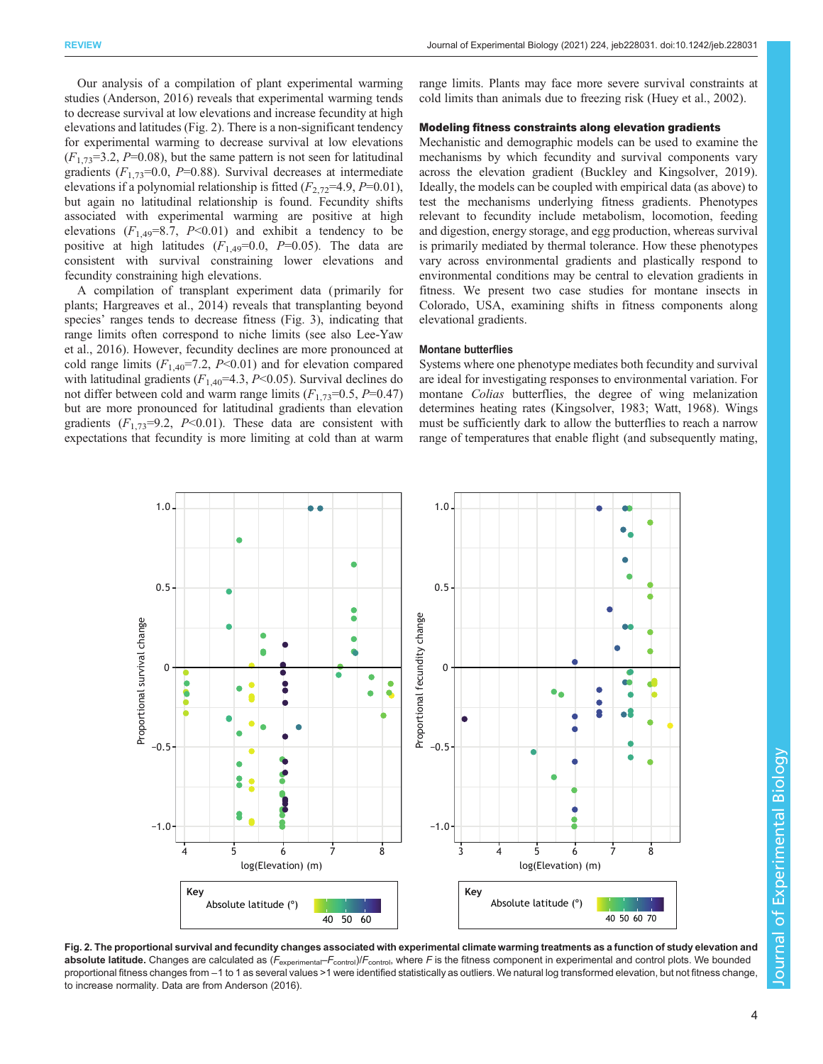Our analysis of a compilation of plant experimental warming studies ([Anderson, 2016\)](#page-6-0) reveals that experimental warming tends to decrease survival at low elevations and increase fecundity at high elevations and latitudes (Fig. 2). There is a non-significant tendency for experimental warming to decrease survival at low elevations  $(F_{1,73}=3.2, P=0.08)$ , but the same pattern is not seen for latitudinal gradients  $(F_{1,73}=0.0, P=0.88)$ . Survival decreases at intermediate elevations if a polynomial relationship is fitted  $(F_{2,72}=4.9, P=0.01)$ , but again no latitudinal relationship is found. Fecundity shifts associated with experimental warming are positive at high elevations  $(F_{1,49}=8.7, P<0.01)$  and exhibit a tendency to be positive at high latitudes  $(F_{1,49}=0.0, P=0.05)$ . The data are consistent with survival constraining lower elevations and fecundity constraining high elevations.

A compilation of transplant experiment data ( primarily for plants; [Hargreaves et al., 2014\)](#page-6-0) reveals that transplanting beyond species' ranges tends to decrease fitness [\(Fig. 3\)](#page-4-0), indicating that range limits often correspond to niche limits (see also [Lee-Yaw](#page-7-0) [et al., 2016\)](#page-7-0). However, fecundity declines are more pronounced at cold range limits  $(F_{1,40} = 7.2, P \le 0.01)$  and for elevation compared with latitudinal gradients ( $F_{1,40}$ =4.3, P<0.05). Survival declines do not differ between cold and warm range limits  $(F_{1,73}=0.5, P=0.47)$ but are more pronounced for latitudinal gradients than elevation gradients  $(F_{1,73}=9.2, P<0.01)$ . These data are consistent with expectations that fecundity is more limiting at cold than at warm range limits. Plants may face more severe survival constraints at cold limits than animals due to freezing risk ([Huey et al., 2002](#page-7-0)).

## Modeling fitness constraints along elevation gradients

Mechanistic and demographic models can be used to examine the mechanisms by which fecundity and survival components vary across the elevation gradient [\(Buckley and Kingsolver, 2019\)](#page-6-0). Ideally, the models can be coupled with empirical data (as above) to test the mechanisms underlying fitness gradients. Phenotypes relevant to fecundity include metabolism, locomotion, feeding and digestion, energy storage, and egg production, whereas survival is primarily mediated by thermal tolerance. How these phenotypes vary across environmental gradients and plastically respond to environmental conditions may be central to elevation gradients in fitness. We present two case studies for montane insects in Colorado, USA, examining shifts in fitness components along elevational gradients.

#### Montane butterflies

Systems where one phenotype mediates both fecundity and survival are ideal for investigating responses to environmental variation. For montane *Colias* butterflies, the degree of wing melanization determines heating rates [\(Kingsolver, 1983](#page-7-0); [Watt, 1968](#page-7-0)). Wings must be sufficiently dark to allow the butterflies to reach a narrow range of temperatures that enable flight (and subsequently mating,



Fig. 2. The proportional survival and fecundity changes associated with experimental climate warming treatments as a function of study elevation and absolute latitude. Changes are calculated as  $(F_{\text{experiment}}-F_{\text{control}})/F_{\text{control}}$ , where F is the fitness component in experimental and control plots. We bounded proportional fitness changes from −1 to 1 as several values >1 were identified statistically as outliers. We natural log transformed elevation, but not fitness change to increase normality. Data are from [Anderson \(2016\).](#page-6-0)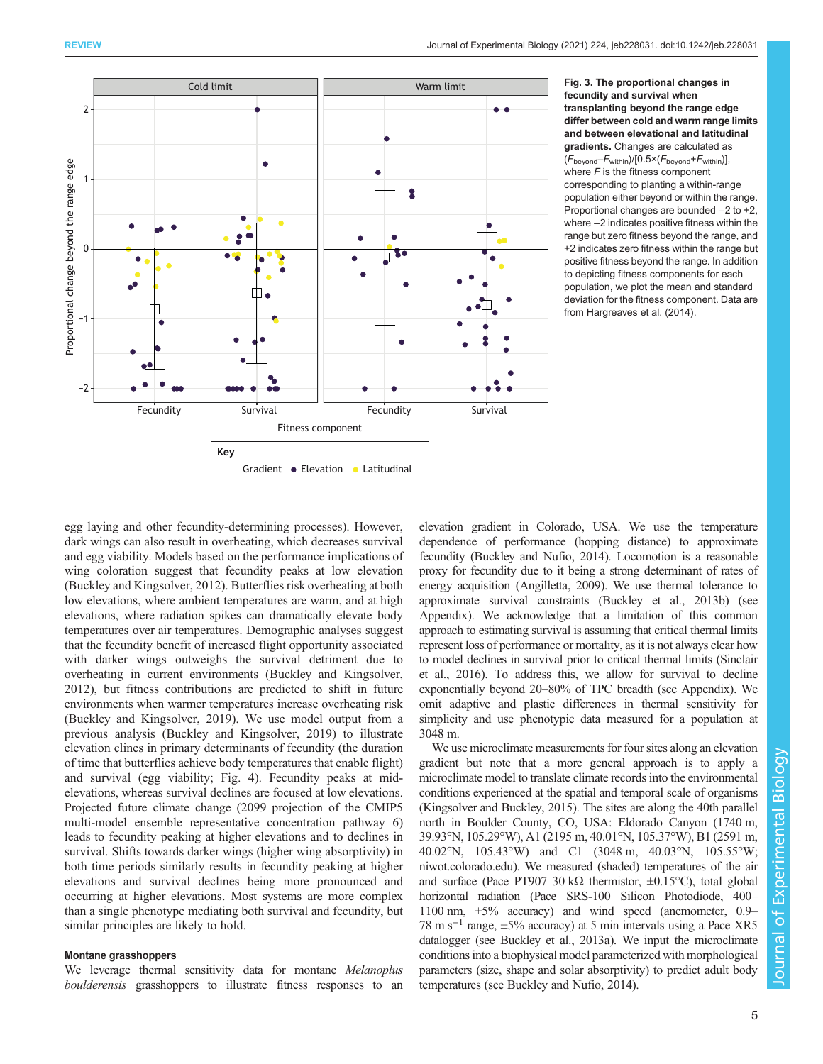<span id="page-4-0"></span>

Fig. 3. The proportional changes in fecundity and survival when transplanting beyond the range edge differ between cold and warm range limits and between elevational and latitudinal gradients. Changes are calculated as  $(F_{\text{becond}}-F_{\text{within}})/[0.5 \times (F_{\text{becond}}+F_{\text{within}})],$ where  $F$  is the fitness component corresponding to planting a within-range population either beyond or within the range. Proportional changes are bounded −2 to +2, where −2 indicates positive fitness within the range but zero fitness beyond the range, and +2 indicates zero fitness within the range but positive fitness beyond the range. In addition to depicting fitness components for each population, we plot the mean and standard deviation for the fitness component. Data are from [Hargreaves et al. \(2014\)](#page-6-0).

egg laying and other fecundity-determining processes). However, dark wings can also result in overheating, which decreases survival and egg viability. Models based on the performance implications of wing coloration suggest that fecundity peaks at low elevation [\(Buckley and Kingsolver, 2012\)](#page-6-0). Butterflies risk overheating at both low elevations, where ambient temperatures are warm, and at high elevations, where radiation spikes can dramatically elevate body temperatures over air temperatures. Demographic analyses suggest that the fecundity benefit of increased flight opportunity associated with darker wings outweighs the survival detriment due to overheating in current environments ([Buckley and Kingsolver,](#page-6-0) [2012](#page-6-0)), but fitness contributions are predicted to shift in future environments when warmer temperatures increase overheating risk [\(Buckley and Kingsolver, 2019](#page-6-0)). We use model output from a previous analysis ([Buckley and Kingsolver, 2019](#page-6-0)) to illustrate elevation clines in primary determinants of fecundity (the duration of time that butterflies achieve body temperatures that enable flight) and survival (egg viability; [Fig. 4\)](#page-5-0). Fecundity peaks at midelevations, whereas survival declines are focused at low elevations. Projected future climate change (2099 projection of the CMIP5 multi-model ensemble representative concentration pathway 6) leads to fecundity peaking at higher elevations and to declines in survival. Shifts towards darker wings (higher wing absorptivity) in both time periods similarly results in fecundity peaking at higher elevations and survival declines being more pronounced and occurring at higher elevations. Most systems are more complex than a single phenotype mediating both survival and fecundity, but similar principles are likely to hold.

## Montane grasshoppers

We leverage thermal sensitivity data for montane Melanoplus boulderensis grasshoppers to illustrate fitness responses to an elevation gradient in Colorado, USA. We use the temperature dependence of performance (hopping distance) to approximate fecundity [\(Buckley and Nufio, 2014\)](#page-6-0). Locomotion is a reasonable proxy for fecundity due to it being a strong determinant of rates of energy acquisition ([Angilletta, 2009](#page-6-0)). We use thermal tolerance to approximate survival constraints [\(Buckley et al., 2013b](#page-6-0)) (see Appendix). We acknowledge that a limitation of this common approach to estimating survival is assuming that critical thermal limits represent loss of performance or mortality, as it is not always clear how to model declines in survival prior to critical thermal limits [\(Sinclair](#page-7-0) [et al., 2016\)](#page-7-0). To address this, we allow for survival to decline exponentially beyond 20–80% of TPC breadth (see Appendix). We omit adaptive and plastic differences in thermal sensitivity for simplicity and use phenotypic data measured for a population at 3048 m.

We use microclimate measurements for four sites along an elevation gradient but note that a more general approach is to apply a microclimate model to translate climate records into the environmental conditions experienced at the spatial and temporal scale of organisms [\(Kingsolver and Buckley, 2015](#page-7-0)). The sites are along the 40th parallel north in Boulder County, CO, USA: Eldorado Canyon (1740 m, 39.93°N, 105.29°W), A1 (2195 m, 40.01°N, 105.37°W), B1 (2591 m, 40.02°N, 105.43°W) and C1 (3048 m, 40.03°N, 105.55°W; [niwot.colorado.edu\)](niwot.colorado.edu). We measured (shaded) temperatures of the air and surface (Pace PT907 30 kΩ thermistor,  $\pm 0.15^{\circ}$ C), total global horizontal radiation (Pace SRS-100 Silicon Photodiode, 400– 1100 nm, ±5% accuracy) and wind speed (anemometer, 0.9– 78 m s−<sup>1</sup> range, ±5% accuracy) at 5 min intervals using a Pace XR5 datalogger (see [Buckley et al., 2013a\)](#page-6-0). We input the microclimate conditions into a biophysical model parameterized with morphological parameters (size, shape and solar absorptivity) to predict adult body temperatures (see [Buckley and Nufio, 2014](#page-6-0)).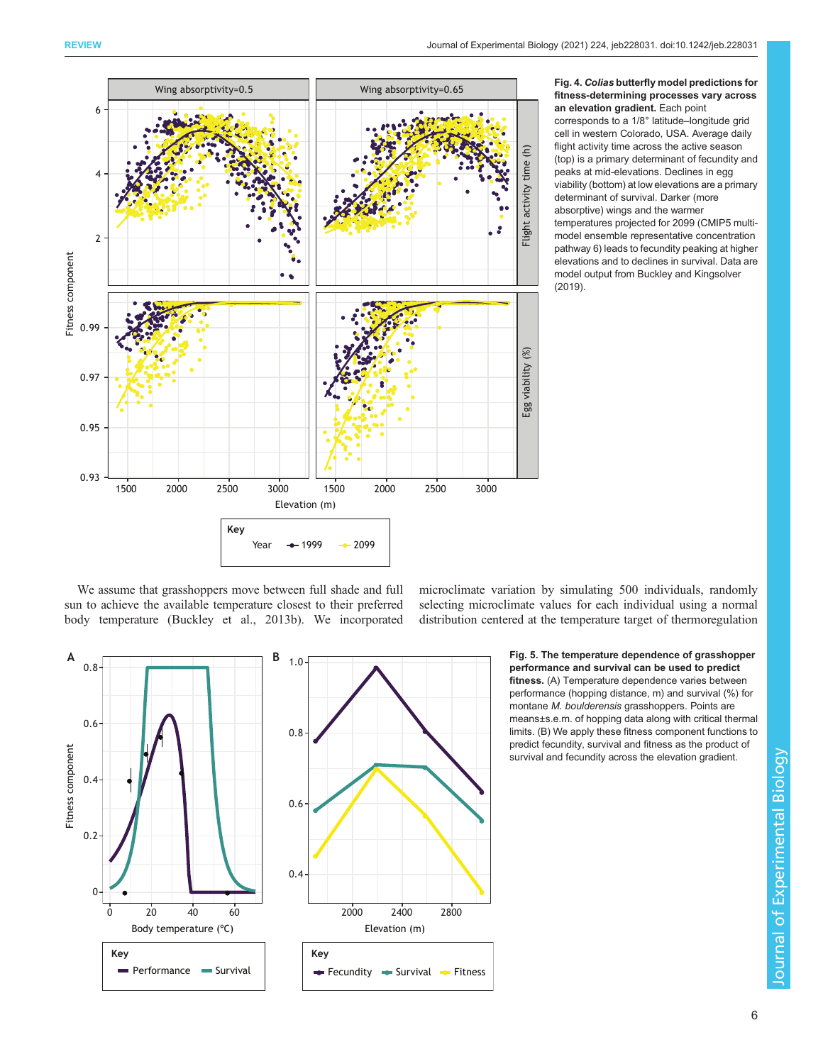<span id="page-5-0"></span>

Fig. 4. Colias butterfly model predictions for fitness-determining processes vary across an elevation gradient. Each point corresponds to a 1/8° latitude–longitude grid cell in western Colorado, USA. Average daily flight activity time across the active season (top) is a primary determinant of fecundity and peaks at mid-elevations. Declines in egg viability (bottom) at low elevations are a primary determinant of survival. Darker (more absorptive) wings and the warmer temperatures projected for 2099 (CMIP5 multimodel ensemble representative concentration pathway 6) leads to fecundity peaking at higher elevations and to declines in survival. Data are model output from [Buckley and Kingsolver](#page-6-0) [\(2019\).](#page-6-0)

We assume that grasshoppers move between full shade and full sun to achieve the available temperature closest to their preferred body temperature ([Buckley et al., 2013b](#page-6-0)). We incorporated

microclimate variation by simulating 500 individuals, randomly selecting microclimate values for each individual using a normal distribution centered at the temperature target of thermoregulation



 Fig. 5. The temperature dependence of grasshopper performance and survival can be used to predict fitness. (A) Temperature dependence varies between performance (hopping distance, m) and survival (%) for montane M. boulderensis grasshoppers. Points are means±s.e.m. of hopping data along with critical thermal limits. (B) We apply these fitness component functions to predict fecundity, survival and fitness as the product of survival and fecundity across the elevation gradient.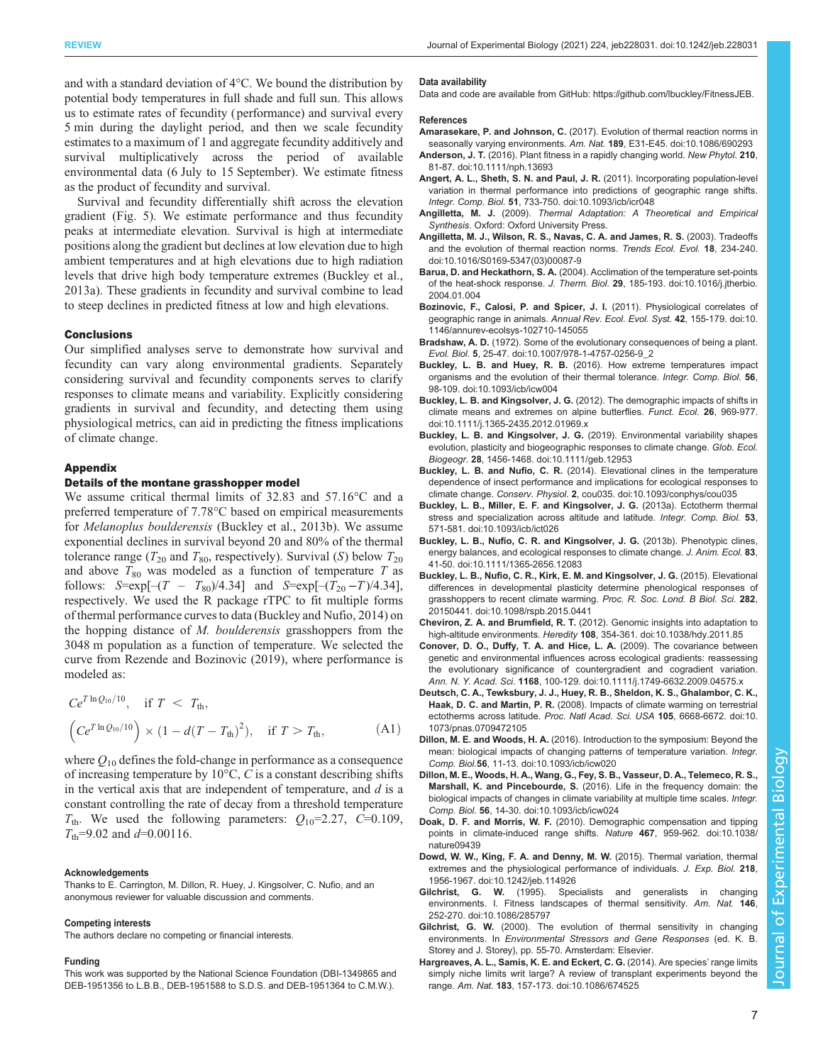<span id="page-6-0"></span>and with a standard deviation of 4°C. We bound the distribution by potential body temperatures in full shade and full sun. This allows us to estimate rates of fecundity ( performance) and survival every 5 min during the daylight period, and then we scale fecundity estimates to a maximum of 1 and aggregate fecundity additively and survival multiplicatively across the period of available environmental data (6 July to 15 September). We estimate fitness as the product of fecundity and survival.

Survival and fecundity differentially shift across the elevation gradient ([Fig. 5](#page-5-0)). We estimate performance and thus fecundity peaks at intermediate elevation. Survival is high at intermediate positions along the gradient but declines at low elevation due to high ambient temperatures and at high elevations due to high radiation levels that drive high body temperature extremes (Buckley et al., 2013a). These gradients in fecundity and survival combine to lead to steep declines in predicted fitness at low and high elevations.

#### **Conclusions**

Our simplified analyses serve to demonstrate how survival and fecundity can vary along environmental gradients. Separately considering survival and fecundity components serves to clarify responses to climate means and variability. Explicitly considering gradients in survival and fecundity, and detecting them using physiological metrics, can aid in predicting the fitness implications of climate change.

## Appendix

## Details of the montane grasshopper model

We assume critical thermal limits of 32.83 and 57.16°C and a preferred temperature of 7.78°C based on empirical measurements for Melanoplus boulderensis (Buckley et al., 2013b). We assume exponential declines in survival beyond 20 and 80% of the thermal tolerance range ( $T_{20}$  and  $T_{80}$ , respectively). Survival (S) below  $T_{20}$ and above  $T_{80}$  was modeled as a function of temperature T as follows:  $S=exp[-(T - T_{80})/4.34]$  and  $S=exp[-(T_{20} - T)/4.34]$ , respectively. We used the R package rTPC to fit multiple forms of thermal performance curves to data (Buckley and Nufio, 2014) on the hopping distance of M. boulderensis grasshoppers from the 3048 m population as a function of temperature. We selected the curve from [Rezende and Bozinovic \(2019\),](#page-7-0) where performance is modeled as:

$$
C e^{T \ln Q_{10}/10}
$$
, if  $T < T_{\text{th}}$ ,  
\n $(C e^{T \ln Q_{10}/10}) \times (1 - d(T - T_{\text{th}})^2)$ , if  $T > T_{\text{th}}$ , (A1)

where  $Q_{10}$  defines the fold-change in performance as a consequence of increasing temperature by  $10^{\circ}$ C, C is a constant describing shifts in the vertical axis that are independent of temperature, and  $d$  is a constant controlling the rate of decay from a threshold temperature  $T_{\text{th}}$ . We used the following parameters:  $Q_{10} = 2.27$ , C=0.109,  $T_{\text{th}}$ =9.02 and  $d$ =0.00116.

#### Acknowledgements

Thanks to E. Carrington, M. Dillon, R. Huey, J. Kingsolver, C. Nufio, and an anonymous reviewer for valuable discussion and comments.

## Competing interests

The authors declare no competing or financial interests.

#### Funding

This work was supported by the National Science Foundation (DBI-1349865 and DEB-1951356 to L.B.B., DEB-1951588 to S.D.S. and DEB-1951364 to C.M.W.).

#### Data availability

Data and code are available from GitHub: [https://github.com/lbuckley/FitnessJEB.](https://github.com/lbuckley/FitnessJEB)

#### References

- Amarasekare, P. and Johnson, C. [\(2017\). Evolution of thermal reaction norms in](https://doi.org/10.1086/690293) [seasonally varying environments.](https://doi.org/10.1086/690293) Am. Nat. 189, E31-E45. doi:10.1086/690293
- Anderson, J. T. [\(2016\). Plant fitness in a rapidly changing world.](https://doi.org/10.1111/nph.13693) New Phytol. 210, [81-87. doi:10.1111/nph.13693](https://doi.org/10.1111/nph.13693)
- [Angert, A. L., Sheth, S. N. and Paul, J. R.](https://doi.org/10.1093/icb/icr048) (2011). Incorporating population-level [variation in thermal performance into predictions of geographic range shifts.](https://doi.org/10.1093/icb/icr048) Integr. Comp. Biol. 51[, 733-750. doi:10.1093/icb/icr048](https://doi.org/10.1093/icb/icr048)
- Angilletta, M. J. (2009). Thermal Adaptation: A Theoretical and Empirical Synthesis. Oxford: Oxford University Press.
- [Angilletta, M. J., Wilson, R. S., Navas, C. A. and James, R. S.](https://doi.org/10.1016/S0169-5347(03)00087-9) (2003). Tradeoffs [and the evolution of thermal reaction norms.](https://doi.org/10.1016/S0169-5347(03)00087-9) Trends Ecol. Evol. 18, 234-240. [doi:10.1016/S0169-5347\(03\)00087-9](https://doi.org/10.1016/S0169-5347(03)00087-9)
- Barua, D. and Heckathorn, S. A. [\(2004\). Acclimation of the temperature set-points](https://doi.org/10.1016/j.jtherbio.2004.01.004) of the heat-shock response. J. Therm. Biol. 29[, 185-193. doi:10.1016/j.jtherbio.](https://doi.org/10.1016/j.jtherbio.2004.01.004) [2004.01.004](https://doi.org/10.1016/j.jtherbio.2004.01.004)
- [Bozinovic, F., Calosi, P. and Spicer, J. I.](https://doi.org/10.1146/annurev-ecolsys-102710-145055) (2011). Physiological correlates of geographic range in animals. [Annual Rev. Ecol. Evol. Syst.](https://doi.org/10.1146/annurev-ecolsys-102710-145055) 42, 155-179. doi:10. [1146/annurev-ecolsys-102710-145055](https://doi.org/10.1146/annurev-ecolsys-102710-145055)
- Bradshaw, A. D. [\(1972\). Some of the evolutionary consequences of being a plant.](https://doi.org/10.1007/978-1-4757-0256-9_2) Evol. Biol. 5[, 25-47. doi:10.1007/978-1-4757-0256-9\\_2](https://doi.org/10.1007/978-1-4757-0256-9_2)
- Buckley, L. B. and Huey, R. B. [\(2016\). How extreme temperatures impact](https://doi.org/10.1093/icb/icw004) [organisms and the evolution of their thermal tolerance.](https://doi.org/10.1093/icb/icw004) Integr. Comp. Biol. 56, [98-109. doi:10.1093/icb/icw004](https://doi.org/10.1093/icb/icw004)
- Buckley, L. B. and Kingsolver, J. G. [\(2012\). The demographic impacts of shifts in](https://doi.org/10.1111/j.1365-2435.2012.01969.x) [climate means and extremes on alpine butterflies.](https://doi.org/10.1111/j.1365-2435.2012.01969.x) Funct. Ecol. 26, 969-977. [doi:10.1111/j.1365-2435.2012.01969.x](https://doi.org/10.1111/j.1365-2435.2012.01969.x)
- Buckley, L. B. and Kingsolver, J. G. [\(2019\). Environmental variability shapes](https://doi.org/10.1111/geb.12953) [evolution, plasticity and biogeographic responses to climate change.](https://doi.org/10.1111/geb.12953) Glob. Ecol. Biogeogr. 28[, 1456-1468. doi:10.1111/geb.12953](https://doi.org/10.1111/geb.12953)
- Buckley, L. B. and Nufio, C. R. [\(2014\). Elevational clines in the temperature](https://doi.org/10.1093/conphys/cou035) [dependence of insect performance and implications for ecological responses to](https://doi.org/10.1093/conphys/cou035) climate change. Conserv. Physiol. 2[, cou035. doi:10.1093/conphys/cou035](https://doi.org/10.1093/conphys/cou035)
- [Buckley, L. B., Miller, E. F. and Kingsolver, J. G.](https://doi.org/10.1093/icb/ict026) (2013a). Ectotherm thermal [stress and specialization across altitude and latitude.](https://doi.org/10.1093/icb/ict026) Integr. Comp. Biol. 53, [571-581. doi:10.1093/icb/ict026](https://doi.org/10.1093/icb/ict026)
- [Buckley, L. B., Nufio, C. R. and Kingsolver, J. G.](https://doi.org/10.1111/1365-2656.12083) (2013b). Phenotypic clines, [energy balances, and ecological responses to climate change.](https://doi.org/10.1111/1365-2656.12083) J. Anim. Ecol. 83, [41-50. doi:10.1111/1365-2656.12083](https://doi.org/10.1111/1365-2656.12083)
- [Buckley, L. B., Nufio, C. R., Kirk, E. M. and Kingsolver, J. G.](https://doi.org/10.1098/rspb.2015.0441) (2015). Elevational [differences in developmental plasticity determine phenological responses of](https://doi.org/10.1098/rspb.2015.0441) [grasshoppers to recent climate warming.](https://doi.org/10.1098/rspb.2015.0441) Proc. R. Soc. Lond. B Biol. Sci. 282, [20150441. doi:10.1098/rspb.2015.0441](https://doi.org/10.1098/rspb.2015.0441)
- Cheviron, Z. A. and Brumfield, R. T. [\(2012\). Genomic insights into adaptation to](https://doi.org/10.1038/hdy.2011.85) high-altitude environments. Heredity 108[, 354-361. doi:10.1038/hdy.2011.85](https://doi.org/10.1038/hdy.2011.85)
- [Conover, D. O., Duffy, T. A. and Hice, L. A.](https://doi.org/10.1111/j.1749-6632.2009.04575.x) (2009). The covariance between [genetic and environmental influences across ecological gradients: reassessing](https://doi.org/10.1111/j.1749-6632.2009.04575.x) [the evolutionary significance of countergradient and cogradient variation.](https://doi.org/10.1111/j.1749-6632.2009.04575.x) Ann. N. Y. Acad. Sci. 1168[, 100-129. doi:10.1111/j.1749-6632.2009.04575.x](https://doi.org/10.1111/j.1749-6632.2009.04575.x)
- [Deutsch, C. A., Tewksbury, J. J., Huey, R. B., Sheldon, K. S., Ghalambor, C. K.,](https://doi.org/10.1073/pnas.0709472105) Haak, D. C. and Martin, P. R. [\(2008\). Impacts of climate warming on terrestrial](https://doi.org/10.1073/pnas.0709472105) [ectotherms across latitude.](https://doi.org/10.1073/pnas.0709472105) Proc. Natl Acad. Sci. USA 105, 6668-6672. doi:10. [1073/pnas.0709472105](https://doi.org/10.1073/pnas.0709472105)
- Dillon, M. E. and Woods, H. A. [\(2016\). Introduction to the symposium: Beyond the](https://doi.org/10.1093/icb/icw020) [mean: biological impacts of changing patterns of temperature variation.](https://doi.org/10.1093/icb/icw020) Integr. Comp. Biol.56[, 11-13. doi:10.1093/icb/icw020](https://doi.org/10.1093/icb/icw020)
- [Dillon, M. E., Woods, H. A., Wang, G., Fey, S. B., Vasseur, D. A., Telemeco, R. S.,](https://doi.org/10.1093/icb/icw024) Marshall, K. and Pincebourde, S. [\(2016\). Life in the frequency domain: the](https://doi.org/10.1093/icb/icw024) [biological impacts of changes in climate variability at multiple time scales.](https://doi.org/10.1093/icb/icw024) Integr. Comp. Biol. 56[, 14-30. doi:10.1093/icb/icw024](https://doi.org/10.1093/icb/icw024)
- Doak, D. F. and Morris, W. F. [\(2010\). Demographic compensation and tipping](https://doi.org/10.1038/nature09439) [points in climate-induced range shifts.](https://doi.org/10.1038/nature09439) Nature 467, 959-962. doi:10.1038/ [nature09439](https://doi.org/10.1038/nature09439)
- [Dowd, W. W., King, F. A. and Denny, M. W.](https://doi.org/10.1242/jeb.114926) (2015). Thermal variation, thermal [extremes and the physiological performance of individuals.](https://doi.org/10.1242/jeb.114926) J. Exp. Biol. 218, [1956-1967. doi:10.1242/jeb.114926](https://doi.org/10.1242/jeb.114926)
- Gilchrist, G. W. [\(1995\). Specialists and generalists in changing](https://doi.org/10.1086/285797) [environments. I. Fitness landscapes of thermal sensitivity.](https://doi.org/10.1086/285797) Am. Nat. 146, [252-270. doi:10.1086/285797](https://doi.org/10.1086/285797)
- Gilchrist, G. W. (2000). The evolution of thermal sensitivity in changing environments. In Environmental Stressors and Gene Responses (ed. K. B. Storey and J. Storey), pp. 55-70. Amsterdam: Elsevier.
- [Hargreaves, A. L., Samis, K. E. and Eckert, C. G.](https://doi.org/10.1086/674525) (2014). Are species' range limits [simply niche limits writ large? A review of transplant experiments beyond the](https://doi.org/10.1086/674525) range. Am. Nat. 183[, 157-173. doi:10.1086/674525](https://doi.org/10.1086/674525)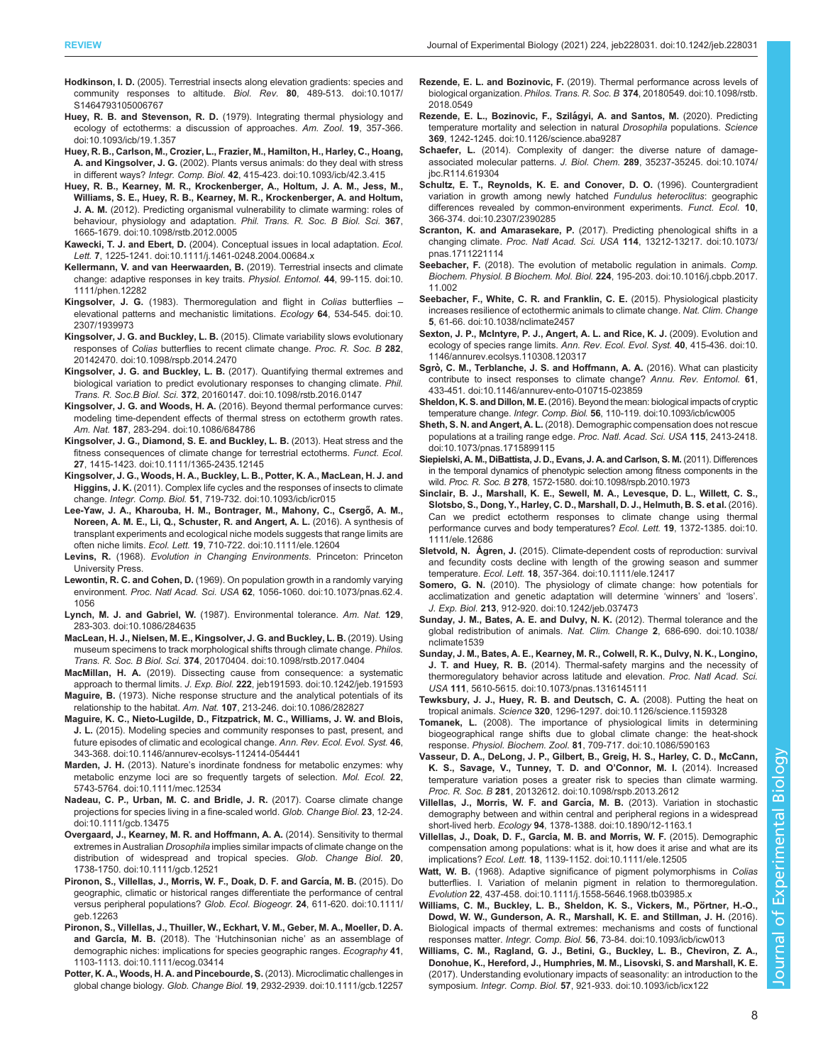- <span id="page-7-0"></span>Hodkinson, I. D. [\(2005\). Terrestrial insects along elevation gradients: species and](https://doi.org/10.1017/S1464793105006767) [community responses to altitude.](https://doi.org/10.1017/S1464793105006767) Biol. Rev. 80, 489-513. doi:10.1017/ [S1464793105006767](https://doi.org/10.1017/S1464793105006767)
- Huey, R. B. and Stevenson, R. D. [\(1979\). Integrating thermal physiology and](https://doi.org/10.1093/icb/19.1.357) [ecology of ectotherms: a discussion of approaches.](https://doi.org/10.1093/icb/19.1.357) Am. Zool. 19, 357-366. [doi:10.1093/icb/19.1.357](https://doi.org/10.1093/icb/19.1.357)
- [Huey, R. B., Carlson, M., Crozier, L., Frazier, M., Hamilton, H., Harley, C., Hoang,](https://doi.org/10.1093/icb/42.3.415) A. and Kingsolver, J. G. [\(2002\). Plants versus animals: do they deal with stress](https://doi.org/10.1093/icb/42.3.415) in different ways? Integr. Comp. Biol. 42[, 415-423. doi:10.1093/icb/42.3.415](https://doi.org/10.1093/icb/42.3.415)
- [Huey, R. B., Kearney, M. R., Krockenberger, A., Holtum, J. A. M., Jess, M.,](https://doi.org/10.1098/rstb.2012.0005) [Williams, S. E., Huey, R. B., Kearney, M. R., Krockenberger, A. and Holtum,](https://doi.org/10.1098/rstb.2012.0005) J. A. M. [\(2012\). Predicting organismal vulnerability to climate warming: roles of](https://doi.org/10.1098/rstb.2012.0005) [behaviour, physiology and adaptation.](https://doi.org/10.1098/rstb.2012.0005) Phil. Trans. R. Soc. B Biol. Sci. 367, [1665-1679. doi:10.1098/rstb.2012.0005](https://doi.org/10.1098/rstb.2012.0005)
- Kawecki, T. J. and Ebert, D. [\(2004\). Conceptual issues in local adaptation.](https://doi.org/10.1111/j.1461-0248.2004.00684.x) Ecol. Lett. 7[, 1225-1241. doi:10.1111/j.1461-0248.2004.00684.x](https://doi.org/10.1111/j.1461-0248.2004.00684.x)
- [Kellermann, V. and van Heerwaarden, B.](https://doi.org/10.1111/phen.12282) (2019). Terrestrial insects and climate [change: adaptive responses in key traits.](https://doi.org/10.1111/phen.12282) Physiol. Entomol. 44, 99-115. doi:10. [1111/phen.12282](https://doi.org/10.1111/phen.12282)
- Kingsolver, J. G. [\(1983\). Thermoregulation and flight in](https://doi.org/10.2307/1939973) Colias butterflies [elevational patterns and mechanistic limitations.](https://doi.org/10.2307/1939973) Ecology 64, 534-545. doi:10. [2307/1939973](https://doi.org/10.2307/1939973)
- Kingsolver, J. G. and Buckley, L. B. [\(2015\). Climate variability slows evolutionary](https://doi.org/10.1098/rspb.2014.2470) responses of Colias [butterflies to recent climate change.](https://doi.org/10.1098/rspb.2014.2470) Proc. R. Soc. B 282, [20142470. doi:10.1098/rspb.2014.2470](https://doi.org/10.1098/rspb.2014.2470)
- Kingsolver, J. G. and Buckley, L. B. [\(2017\). Quantifying thermal extremes and](https://doi.org/10.1098/rstb.2016.0147) [biological variation to predict evolutionary responses to changing climate.](https://doi.org/10.1098/rstb.2016.0147) Phil. Trans. R. Soc.B Biol. Sci. 372[, 20160147. doi:10.1098/rstb.2016.0147](https://doi.org/10.1098/rstb.2016.0147)
- Kingsolver, J. G. and Woods, H. A. [\(2016\). Beyond thermal performance curves:](https://doi.org/10.1086/684786) [modeling time-dependent effects of thermal stress on ectotherm growth rates.](https://doi.org/10.1086/684786) Am. Nat. 187[, 283-294. doi:10.1086/684786](https://doi.org/10.1086/684786)
- [Kingsolver, J. G., Diamond, S. E. and Buckley, L. B.](https://doi.org/10.1111/1365-2435.12145) (2013). Heat stress and the [fitness consequences of climate change for terrestrial ectotherms.](https://doi.org/10.1111/1365-2435.12145) Funct. Ecol. 27[, 1415-1423. doi:10.1111/1365-2435.12145](https://doi.org/10.1111/1365-2435.12145)
- [Kingsolver, J. G., Woods, H. A., Buckley, L. B., Potter, K. A., MacLean, H. J. and](https://doi.org/10.1093/icb/icr015) Higgins, J. K. [\(2011\). Complex life cycles and the responses of insects to climate](https://doi.org/10.1093/icb/icr015) change. Integr. Comp. Biol. 51[, 719-732. doi:10.1093/icb/icr015](https://doi.org/10.1093/icb/icr015)
- Lee-Yaw, J. A., Kharouba, H. M., Bontrager, M., Mahony, C., Csergő, A. M., [Noreen, A. M. E., Li, Q., Schuster, R. and Angert, A. L.](https://doi.org/10.1111/ele.12604) (2016). A synthesis of [transplant experiments and ecological niche models suggests that range limits are](https://doi.org/10.1111/ele.12604) often niche limits. Ecol. Lett. 19[, 710-722. doi:10.1111/ele.12604](https://doi.org/10.1111/ele.12604)
- Levins, R. (1968). Evolution in Changing Environments. Princeton: Princeton University Press.
- Lewontin, R. C. and Cohen, D. [\(1969\). On population growth in a randomly varying](https://doi.org/10.1073/pnas.62.4.1056) environment. Proc. Natl Acad. Sci. USA 62[, 1056-1060. doi:10.1073/pnas.62.4.](https://doi.org/10.1073/pnas.62.4.1056) [1056](https://doi.org/10.1073/pnas.62.4.1056)
- Lynch, M. J. and Gabriel, W. [\(1987\). Environmental tolerance.](https://doi.org/10.1086/284635) Am. Nat. 129, [283-303. doi:10.1086/284635](https://doi.org/10.1086/284635)
- [MacLean, H. J., Nielsen, M. E., Kingsolver, J. G. and Buckley, L. B.](https://doi.org/10.1098/rstb.2017.0404) (2019). Using [museum specimens to track morphological shifts through climate change.](https://doi.org/10.1098/rstb.2017.0404) Philos. Trans. R. Soc. B Biol. Sci. 374[, 20170404. doi:10.1098/rstb.2017.0404](https://doi.org/10.1098/rstb.2017.0404)
- MacMillan, H. A. [\(2019\). Dissecting cause from consequence: a systematic](https://doi.org/10.1242/jeb.191593) approach to thermal limits. J. Exp. Biol. 222[, jeb191593. doi:10.1242/jeb.191593](https://doi.org/10.1242/jeb.191593)
- Maguire, B. [\(1973\). Niche response structure and the analytical potentials of its](https://doi.org/10.1086/282827) relationship to the habitat. Am. Nat. 107[, 213-246. doi:10.1086/282827](https://doi.org/10.1086/282827)
- [Maguire, K. C., Nieto-Lugilde, D., Fitzpatrick, M. C., Williams, J. W. and Blois,](https://doi.org/10.1146/annurev-ecolsys-112414-054441) J. L. [\(2015\). Modeling species and community responses to past, present, and](https://doi.org/10.1146/annurev-ecolsys-112414-054441) [future episodes of climatic and ecological change.](https://doi.org/10.1146/annurev-ecolsys-112414-054441) Ann. Rev. Ecol. Evol. Syst. 46, [343-368. doi:10.1146/annurev-ecolsys-112414-054441](https://doi.org/10.1146/annurev-ecolsys-112414-054441)
- Marden, J. H. (2013). Nature'[s inordinate fondness for metabolic enzymes: why](https://doi.org/10.1111/mec.12534) [metabolic enzyme loci are so frequently targets of selection.](https://doi.org/10.1111/mec.12534) Mol. Ecol. 22, [5743-5764. doi:10.1111/mec.12534](https://doi.org/10.1111/mec.12534)
- [Nadeau, C. P., Urban, M. C. and Bridle, J. R.](https://doi.org/10.1111/gcb.13475) (2017). Coarse climate change [projections for species living in a fine-scaled world.](https://doi.org/10.1111/gcb.13475) Glob. Change Biol. 23, 12-24. [doi:10.1111/gcb.13475](https://doi.org/10.1111/gcb.13475)
- [Overgaard, J., Kearney, M. R. and Hoffmann, A. A.](https://doi.org/10.1111/gcb.12521) (2014). Sensitivity to thermal extremes in Australian Drosophila [implies similar impacts of climate change on the](https://doi.org/10.1111/gcb.12521) [distribution of widespread and tropical species.](https://doi.org/10.1111/gcb.12521) Glob. Change Biol. 20, [1738-1750. doi:10.1111/gcb.12521](https://doi.org/10.1111/gcb.12521)
- [Pironon, S., Villellas, J., Morris, W. F., Doak, D. F. and Garc](https://doi.org/10.1111/geb.12263)ía, M. B. (2015). Do [geographic, climatic or historical ranges differentiate the performance of central](https://doi.org/10.1111/geb.12263) [versus peripheral populations?](https://doi.org/10.1111/geb.12263) Glob. Ecol. Biogeogr. 24, 611-620. doi:10.1111/ [geb.12263](https://doi.org/10.1111/geb.12263)
- [Pironon, S., Villellas, J., Thuiller, W., Eckhart, V. M., Geber, M. A., Moeller, D. A.](https://doi.org/10.1111/ecog.03414) and García, M. B. (2018). The 'Hutchinsonian niche' [as an assemblage of](https://doi.org/10.1111/ecog.03414) [demographic niches: implications for species geographic ranges.](https://doi.org/10.1111/ecog.03414) Ecography 41, [1103-1113. doi:10.1111/ecog.03414](https://doi.org/10.1111/ecog.03414)
- [Potter, K. A., Woods, H. A. and Pincebourde, S.](https://doi.org/10.1111/gcb.12257) (2013). Microclimatic challenges in global change biology. Glob. Change Biol. 19[, 2932-2939. doi:10.1111/gcb.12257](https://doi.org/10.1111/gcb.12257)
- Rezende, E. L. and Bozinovic, F. [\(2019\). Thermal performance across levels of](https://doi.org/10.1098/rstb.2018.0549) biological organization. Philos. Trans. R. Soc. B 374[, 20180549. doi:10.1098/rstb.](https://doi.org/10.1098/rstb.2018.0549) [2018.0549](https://doi.org/10.1098/rstb.2018.0549)
- Rezende, E. L., Bozinovic, F., Szilágyi, A. and Santos, M. (2020). Predicting [temperature mortality and selection in natural](https://doi.org/10.1126/science.aba9287) Drosophila populations. Science 369[, 1242-1245. doi:10.1126/science.aba9287](https://doi.org/10.1126/science.aba9287)
- Schaefer, L. [\(2014\). Complexity of danger: the diverse nature of damage](https://doi.org/10.1074/jbc.R114.619304)[associated molecular patterns.](https://doi.org/10.1074/jbc.R114.619304) J. Biol. Chem. 289, 35237-35245. doi:10.1074/ [jbc.R114.619304](https://doi.org/10.1074/jbc.R114.619304)
- [Schultz, E. T., Reynolds, K. E. and Conover, D. O.](https://doi.org/10.2307/2390285) (1996). Countergradient [variation in growth among newly hatched](https://doi.org/10.2307/2390285) Fundulus heteroclitus: geographic [differences revealed by common-environment experiments.](https://doi.org/10.2307/2390285) Funct. Ecol. 10, [366-374. doi:10.2307/2390285](https://doi.org/10.2307/2390285)
- Scranton, K. and Amarasekare, P. [\(2017\). Predicting phenological shifts in a](https://doi.org/10.1073/pnas.1711221114) changing climate. Proc. Natl Acad. Sci. USA 114[, 13212-13217. doi:10.1073/](https://doi.org/10.1073/pnas.1711221114) [pnas.1711221114](https://doi.org/10.1073/pnas.1711221114)
- Seebacher, F. [\(2018\). The evolution of metabolic regulation in animals.](https://doi.org/10.1016/j.cbpb.2017.11.002) Comp. [Biochem. Physiol. B Biochem. Mol. Biol.](https://doi.org/10.1016/j.cbpb.2017.11.002) 224, 195-203. doi:10.1016/j.cbpb.2017. [11.002](https://doi.org/10.1016/j.cbpb.2017.11.002)
- [Seebacher, F., White, C. R. and Franklin, C. E.](https://doi.org/10.1038/nclimate2457) (2015). Physiological plasticity [increases resilience of ectothermic animals to climate change.](https://doi.org/10.1038/nclimate2457) Nat. Clim. Change 5[, 61-66. doi:10.1038/nclimate2457](https://doi.org/10.1038/nclimate2457)
- [Sexton, J. P., McIntyre, P. J., Angert, A. L. and Rice, K. J.](https://doi.org/10.1146/annurev.ecolsys.110308.120317) (2009). Evolution and [ecology of species range limits.](https://doi.org/10.1146/annurev.ecolsys.110308.120317) Ann. Rev. Ecol. Evol. Syst. 40, 415-436. doi:10. [1146/annurev.ecolsys.110308.120317](https://doi.org/10.1146/annurev.ecolsys.110308.120317)
- Sgrò[, C. M., Terblanche, J. S. and Hoffmann, A. A.](https://doi.org/10.1146/annurev-ento-010715-023859) (2016). What can plasticity [contribute to insect responses to climate change?](https://doi.org/10.1146/annurev-ento-010715-023859) Annu. Rev. Entomol. 61, [433-451. doi:10.1146/annurev-ento-010715-023859](https://doi.org/10.1146/annurev-ento-010715-023859)
- Sheldon, K. S. and Dillon, M. E. [\(2016\). Beyond the mean: biological impacts of cryptic](https://doi.org/10.1093/icb/icw005) temperature change. Integr. Comp. Biol. 56[, 110-119. doi:10.1093/icb/icw005](https://doi.org/10.1093/icb/icw005)
- Sheth, S. N. and Angert, A. L. [\(2018\). Demographic compensation does not rescue](https://doi.org/10.1073/pnas.1715899115) [populations at a trailing range edge.](https://doi.org/10.1073/pnas.1715899115) Proc. Natl. Acad. Sci. USA 115, 2413-2418. [doi:10.1073/pnas.1715899115](https://doi.org/10.1073/pnas.1715899115)
- [Siepielski, A. M., DiBattista, J. D., Evans, J. A. and Carlson, S. M.](https://doi.org/10.1098/rspb.2010.1973) (2011). Differences [in the temporal dynamics of phenotypic selection among fitness components in the](https://doi.org/10.1098/rspb.2010.1973) wild. Proc. R. Soc. B 278[, 1572-1580. doi:10.1098/rspb.2010.1973](https://doi.org/10.1098/rspb.2010.1973)
- [Sinclair, B. J., Marshall, K. E., Sewell, M. A., Levesque, D. L., Willett, C. S.,](https://doi.org/10.1111/ele.12686) [Slotsbo, S., Dong, Y., Harley, C. D., Marshall, D. J., Helmuth, B. S. et al.](https://doi.org/10.1111/ele.12686) (2016). [Can we predict ectotherm responses to climate change using thermal](https://doi.org/10.1111/ele.12686) [performance curves and body temperatures?](https://doi.org/10.1111/ele.12686) Ecol. Lett. 19, 1372-1385. doi:10. [1111/ele.12686](https://doi.org/10.1111/ele.12686)
- Sletvold, N. Ågren, J. [\(2015\). Climate-dependent costs of reproduction: survival](https://doi.org/10.1111/ele.12417) [and fecundity costs decline with length of the growing season and summer](https://doi.org/10.1111/ele.12417) temperature. Ecol. Lett. 18[, 357-364. doi:10.1111/ele.12417](https://doi.org/10.1111/ele.12417)
- Somero, G. N. [\(2010\). The physiology of climate change: how potentials for](https://doi.org/10.1242/jeb.037473) [acclimatization and genetic adaptation will determine](https://doi.org/10.1242/jeb.037473) 'winners' and 'losers'. J. Exp. Biol. 213[, 912-920. doi:10.1242/jeb.037473](https://doi.org/10.1242/jeb.037473)
- [Sunday, J. M., Bates, A. E. and Dulvy, N. K.](https://doi.org/10.1038/nclimate1539) (2012). Thermal tolerance and the [global redistribution of animals.](https://doi.org/10.1038/nclimate1539) Nat. Clim. Change 2, 686-690. doi:10.1038/ [nclimate1539](https://doi.org/10.1038/nclimate1539)
- [Sunday, J. M., Bates, A. E., Kearney, M. R., Colwell, R. K., Dulvy, N. K., Longino,](https://doi.org/10.1073/pnas.1316145111) J. T. and Huey, R. B. [\(2014\). Thermal-safety margins and the necessity of](https://doi.org/10.1073/pnas.1316145111) [thermoregulatory behavior across latitude and elevation.](https://doi.org/10.1073/pnas.1316145111) Proc. Natl Acad. Sci. USA 111[, 5610-5615. doi:10.1073/pnas.1316145111](https://doi.org/10.1073/pnas.1316145111)
- [Tewksbury, J. J., Huey, R. B. and Deutsch, C. A.](https://doi.org/10.1126/science.1159328) (2008). Putting the heat on tropical animals. Science 320[, 1296-1297. doi:10.1126/science.1159328](https://doi.org/10.1126/science.1159328)
- Tomanek, L. [\(2008\). The importance of physiological limits in determining](https://doi.org/10.1086/590163) [biogeographical range shifts due to global climate change: the heat-shock](https://doi.org/10.1086/590163) response. Physiol. Biochem. Zool. 81[, 709-717. doi:10.1086/590163](https://doi.org/10.1086/590163)
- [Vasseur, D. A., DeLong, J. P., Gilbert, B., Greig, H. S., Harley, C. D., McCann,](https://doi.org/10.1098/rspb.2013.2612) [K. S., Savage, V., Tunney, T. D. and O](https://doi.org/10.1098/rspb.2013.2612)'Connor, M. I. (2014). Increased [temperature variation poses a greater risk to species than climate warming.](https://doi.org/10.1098/rspb.2013.2612) Proc. R. Soc. B 281[, 20132612. doi:10.1098/rspb.2013.2612](https://doi.org/10.1098/rspb.2013.2612)
- [Villellas, J., Morris, W. F. and Garc](https://doi.org/10.1890/12-1163.1)ía, M. B. (2013). Variation in stochastic [demography between and within central and peripheral regions in a widespread](https://doi.org/10.1890/12-1163.1) short-lived herb. Ecology 94[, 1378-1388. doi:10.1890/12-1163.1](https://doi.org/10.1890/12-1163.1)
- [Villellas, J., Doak, D. F., Garc](https://doi.org/10.1111/ele.12505)ía, M. B. and Morris, W. F. (2015). Demographic [compensation among populations: what is it, how does it arise and what are its](https://doi.org/10.1111/ele.12505) implications? Ecol. Lett. 18[, 1139-1152. doi:10.1111/ele.12505](https://doi.org/10.1111/ele.12505)
- Watt, W. B. [\(1968\). Adaptive significance of pigment polymorphisms in](https://doi.org/10.1111/j.1558-5646.1968.tb03985.x) Colias [butterflies. I. Variation of melanin pigment in relation to thermoregulation.](https://doi.org/10.1111/j.1558-5646.1968.tb03985.x) Evolution 22[, 437-458. doi:10.1111/j.1558-5646.1968.tb03985.x](https://doi.org/10.1111/j.1558-5646.1968.tb03985.x)
- Williams, C. M., Buckley, L. B., Sheldon, K. S., Vickers, M., Pörtner, H.-O., [Dowd, W. W., Gunderson, A. R., Marshall, K. E. and Stillman, J. H.](https://doi.org/10.1093/icb/icw013) (2016). [Biological impacts of thermal extremes: mechanisms and costs of functional](https://doi.org/10.1093/icb/icw013) responses matter. Integr. Comp. Biol. 56[, 73-84. doi:10.1093/icb/icw013](https://doi.org/10.1093/icb/icw013)
- [Williams, C. M., Ragland, G. J., Betini, G., Buckley, L. B., Cheviron, Z. A.,](https://doi.org/10.1093/icb/icx122) [Donohue, K., Hereford, J., Humphries, M. M., Lisovski, S. and Marshall, K. E.](https://doi.org/10.1093/icb/icx122) [\(2017\). Understanding evolutionary impacts of seasonality: an introduction to the](https://doi.org/10.1093/icb/icx122) symposium. Integr. Comp. Biol. 57[, 921-933. doi:10.1093/icb/icx122](https://doi.org/10.1093/icb/icx122)